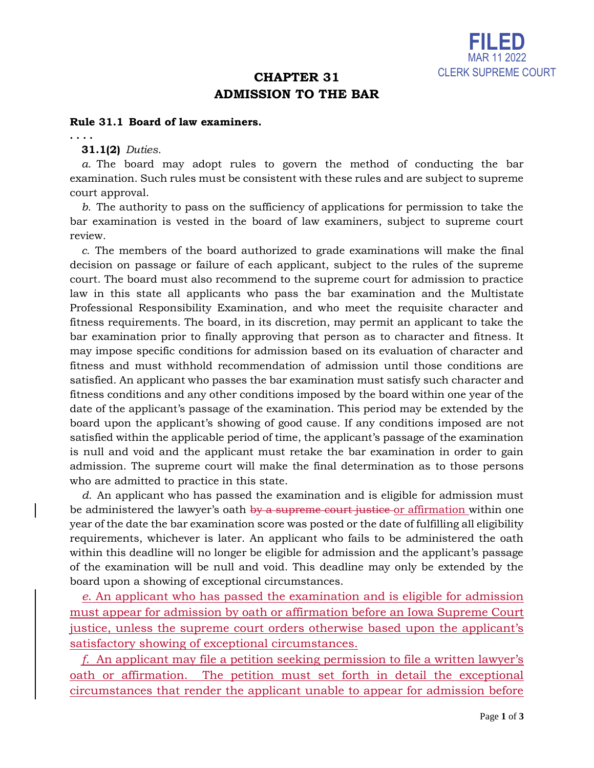

# **CHAPTER 31 ADMISSION TO THE BAR**

### **Rule 31.1 Board of law examiners.**

**. . . .**

**31.1(2)** *Duties.*

*a.* The board may adopt rules to govern the method of conducting the bar examination. Such rules must be consistent with these rules and are subject to supreme court approval.

*b.* The authority to pass on the sufficiency of applications for permission to take the bar examination is vested in the board of law examiners, subject to supreme court review.

*c.* The members of the board authorized to grade examinations will make the final decision on passage or failure of each applicant, subject to the rules of the supreme court. The board must also recommend to the supreme court for admission to practice law in this state all applicants who pass the bar examination and the Multistate Professional Responsibility Examination, and who meet the requisite character and fitness requirements. The board, in its discretion, may permit an applicant to take the bar examination prior to finally approving that person as to character and fitness. It may impose specific conditions for admission based on its evaluation of character and fitness and must withhold recommendation of admission until those conditions are satisfied. An applicant who passes the bar examination must satisfy such character and fitness conditions and any other conditions imposed by the board within one year of the date of the applicant's passage of the examination. This period may be extended by the board upon the applicant's showing of good cause. If any conditions imposed are not satisfied within the applicable period of time, the applicant's passage of the examination is null and void and the applicant must retake the bar examination in order to gain admission. The supreme court will make the final determination as to those persons who are admitted to practice in this state.

*d.* An applicant who has passed the examination and is eligible for admission must be administered the lawyer's oath by a supreme court justice or affirmation within one year of the date the bar examination score was posted or the date of fulfilling all eligibility requirements, whichever is later. An applicant who fails to be administered the oath within this deadline will no longer be eligible for admission and the applicant's passage of the examination will be null and void. This deadline may only be extended by the board upon a showing of exceptional circumstances.

*e*. An applicant who has passed the examination and is eligible for admission must appear for admission by oath or affirmation before an Iowa Supreme Court justice, unless the supreme court orders otherwise based upon the applicant's satisfactory showing of exceptional circumstances.

*f*. An applicant may file a petition seeking permission to file a written lawyer's oath or affirmation. The petition must set forth in detail the exceptional circumstances that render the applicant unable to appear for admission before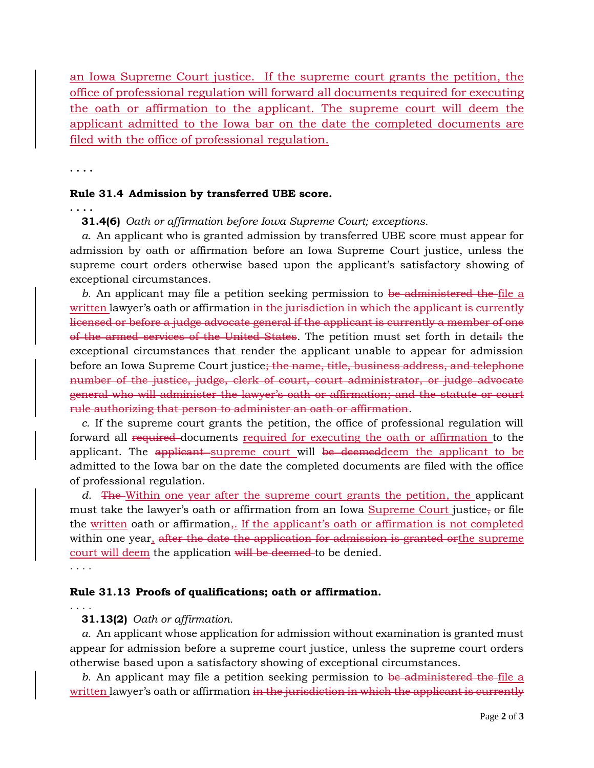an Iowa Supreme Court justice. If the supreme court grants the petition, the office of professional regulation will forward all documents required for executing the oath or affirmation to the applicant. The supreme court will deem the applicant admitted to the Iowa bar on the date the completed documents are filed with the office of professional regulation.

**. . . .**

#### **Rule 31.4 Admission by transferred UBE score.**

**. . . .**

**31.4(6)** *Oath or affirmation before Iowa Supreme Court; exceptions.*

*a.* An applicant who is granted admission by transferred UBE score must appear for admission by oath or affirmation before an Iowa Supreme Court justice, unless the supreme court orders otherwise based upon the applicant's satisfactory showing of exceptional circumstances.

*b.* An applicant may file a petition seeking permission to be administered the file a written lawyer's oath or affirmation in the jurisdiction in which the applicant is currently licensed or before a judge advocate general if the applicant is currently a member of one of the armed services of the United States. The petition must set forth in detail: the exceptional circumstances that render the applicant unable to appear for admission before an Iowa Supreme Court justice<del>; the name, title, business address, and telephone</del> number of the justice, judge, clerk of court, court administrator, or judge advocate general who will administer the lawyer's oath or affirmation; and the statute or court rule authorizing that person to administer an oath or affirmation.

*c.* If the supreme court grants the petition, the office of professional regulation will forward all required documents required for executing the oath or affirmation to the applicant. The applicant supreme court will be deemeddeem the applicant to be admitted to the Iowa bar on the date the completed documents are filed with the office of professional regulation.

*d.* The Within one year after the supreme court grants the petition, the applicant must take the lawyer's oath or affirmation from an Iowa Supreme Court justice, or file the written oath or affirmation,. If the applicant's oath or affirmation is not completed within one year, after the date the application for admission is granted orthe supreme court will deem the application will be deemed to be denied.

. . . .

## **Rule 31.13 Proofs of qualifications; oath or affirmation.**

. . . .

#### **31.13(2)** *Oath or affirmation.*

*a.* An applicant whose application for admission without examination is granted must appear for admission before a supreme court justice, unless the supreme court orders otherwise based upon a satisfactory showing of exceptional circumstances.

*b.* An applicant may file a petition seeking permission to be administered the file a written lawyer's oath or affirmation in the jurisdiction in which the applicant is currently